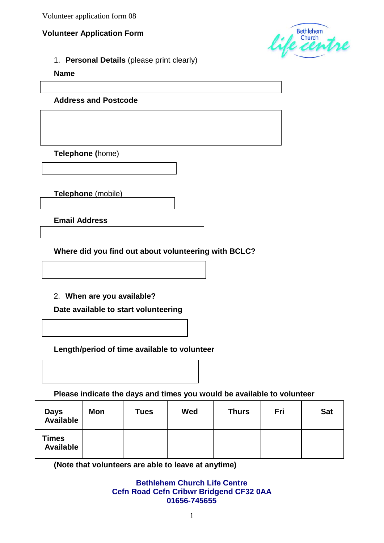Volunteer application form 08

### **Volunteer Application Form**



1. **Personal Details** (please print clearly)

**Name**

**Address and Postcode**

**Telephone (**home)

**Telephone** (mobile)

**Email Address**

**Where did you find out about volunteering with BCLC?**

2. **When are you available?**

**Date available to start volunteering**

**Length/period of time available to volunteer**

**Please indicate the days and times you would be available to volunteer**

| <b>Days</b><br><b>Available</b>  | <b>Mon</b> | <b>Tues</b> | Wed | <b>Thurs</b> | Fri | <b>Sat</b> |
|----------------------------------|------------|-------------|-----|--------------|-----|------------|
| <b>Times</b><br><b>Available</b> |            |             |     |              |     |            |

**(Note that volunteers are able to leave at anytime)**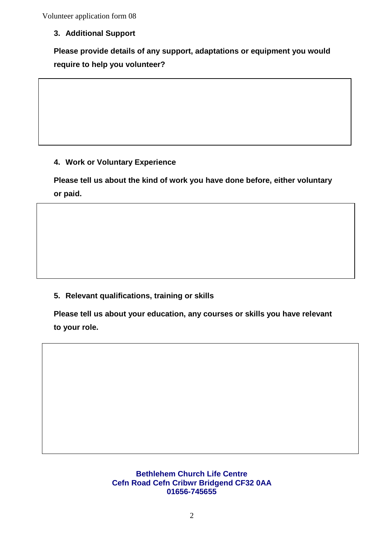Volunteer application form 08

**3. Additional Support**

**Please provide details of any support, adaptations or equipment you would require to help you volunteer?**

# **4. Work or Voluntary Experience**

**Please tell us about the kind of work you have done before, either voluntary or paid.**

## **5. Relevant qualifications, training or skills**

**Please tell us about your education, any courses or skills you have relevant to your role.**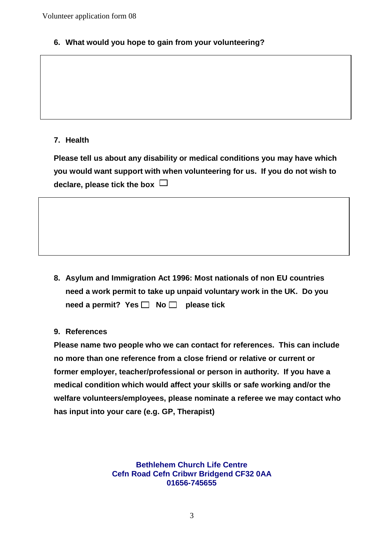**6. What would you hope to gain from your volunteering?**

## **7. Health**

**Please tell us about any disability or medical conditions you may have which you would want support with when volunteering for us. If you do not wish to declare, please tick the box** 

**8. Asylum and Immigration Act 1996: Most nationals of non EU countries need a work permit to take up unpaid voluntary work in the UK. Do you**  need a permit? Yes  $\Box$  No  $\Box$  please tick

### **9. References**

**Please name two people who we can contact for references. This can include no more than one reference from a close friend or relative or current or former employer, teacher/professional or person in authority. If you have a medical condition which would affect your skills or safe working and/or the welfare volunteers/employees, please nominate a referee we may contact who has input into your care (e.g. GP, Therapist)**